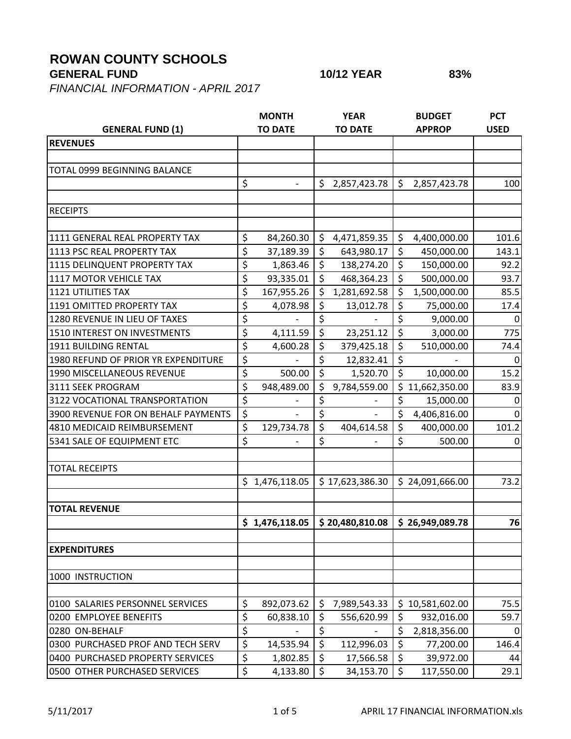## **ROWAN COUNTY SCHOOLS**

## **GENERAL FUND 10/12 YEAR 83%**

*FINANCIAL INFORMATION - APRIL 2017*

|                                            |    | <b>MONTH</b>   |         | <b>YEAR</b>     |         | <b>BUDGET</b>   | <b>PCT</b>  |
|--------------------------------------------|----|----------------|---------|-----------------|---------|-----------------|-------------|
| <b>GENERAL FUND (1)</b>                    |    | <b>TO DATE</b> |         | <b>TO DATE</b>  |         | <b>APPROP</b>   | <b>USED</b> |
| <b>REVENUES</b>                            |    |                |         |                 |         |                 |             |
|                                            |    |                |         |                 |         |                 |             |
| TOTAL 0999 BEGINNING BALANCE               |    |                |         |                 |         |                 |             |
|                                            | \$ |                | \$      | 2,857,423.78    | \$      | 2,857,423.78    | 100         |
|                                            |    |                |         |                 |         |                 |             |
| <b>RECEIPTS</b>                            |    |                |         |                 |         |                 |             |
|                                            |    |                |         |                 |         |                 |             |
| 1111 GENERAL REAL PROPERTY TAX             | \$ | 84,260.30      | \$      | 4,471,859.35    | \$      | 4,400,000.00    | 101.6       |
| 1113 PSC REAL PROPERTY TAX                 | \$ | 37,189.39      | $\zeta$ | 643,980.17      | $\zeta$ | 450,000.00      | 143.1       |
| 1115 DELINQUENT PROPERTY TAX               | \$ | 1,863.46       | \$      | 138,274.20      | \$      | 150,000.00      | 92.2        |
| 1117 MOTOR VEHICLE TAX                     | \$ | 93,335.01      | \$      | 468,364.23      | \$      | 500,000.00      | 93.7        |
| <b>1121 UTILITIES TAX</b>                  | \$ | 167,955.26     | \$      | 1,281,692.58    | \$      | 1,500,000.00    | 85.5        |
| 1191 OMITTED PROPERTY TAX                  | \$ | 4,078.98       | \$      | 13,012.78       | \$      | 75,000.00       | 17.4        |
| 1280 REVENUE IN LIEU OF TAXES              | \$ |                | \$      |                 | \$      | 9,000.00        | 0           |
| 1510 INTEREST ON INVESTMENTS               | \$ | 4,111.59       | $\zeta$ | 23,251.12       | \$      | 3,000.00        | 775         |
| 1911 BUILDING RENTAL                       | \$ | 4,600.28       | \$      | 379,425.18      | \$      | 510,000.00      | 74.4        |
| <b>1980 REFUND OF PRIOR YR EXPENDITURE</b> | \$ |                | \$      | 12,832.41       | \$      |                 | 0           |
| 1990 MISCELLANEOUS REVENUE                 | \$ | 500.00         | \$      | 1,520.70        | \$      | 10,000.00       | 15.2        |
| 3111 SEEK PROGRAM                          | \$ | 948,489.00     | \$      | 9,784,559.00    | \$      | 11,662,350.00   | 83.9        |
| 3122 VOCATIONAL TRANSPORTATION             | \$ |                | \$      |                 | \$      | 15,000.00       | 0           |
| 3900 REVENUE FOR ON BEHALF PAYMENTS        | \$ |                | \$      |                 | \$      | 4,406,816.00    | $\Omega$    |
| 4810 MEDICAID REIMBURSEMENT                | \$ | 129,734.78     | \$      | 404,614.58      | \$      | 400,000.00      | 101.2       |
| 5341 SALE OF EQUIPMENT ETC                 | \$ |                | \$      |                 | \$      | 500.00          | 0           |
|                                            |    |                |         |                 |         |                 |             |
| <b>TOTAL RECEIPTS</b>                      |    |                |         |                 |         |                 |             |
|                                            | \$ | 1,476,118.05   |         | \$17,623,386.30 |         | \$24,091,666.00 | 73.2        |
|                                            |    |                |         |                 |         |                 |             |
| <b>TOTAL REVENUE</b>                       |    |                |         |                 |         |                 |             |
|                                            |    | \$1,476,118.05 |         | \$20,480,810.08 |         | \$26,949,089.78 | 76          |
|                                            |    |                |         |                 |         |                 |             |
| <b>EXPENDITURES</b>                        |    |                |         |                 |         |                 |             |
|                                            |    |                |         |                 |         |                 |             |
| 1000 INSTRUCTION                           |    |                |         |                 |         |                 |             |
|                                            |    |                |         |                 |         |                 |             |
| 0100 SALARIES PERSONNEL SERVICES           | \$ | 892,073.62     | \$      | 7,989,543.33    | \$      | 10,581,602.00   | 75.5        |
| 0200 EMPLOYEE BENEFITS                     | \$ | 60,838.10      | \$      | 556,620.99      | \$      | 932,016.00      | 59.7        |
| 0280 ON-BEHALF                             | \$ |                | \$      |                 | \$      | 2,818,356.00    | $\mathbf 0$ |
| 0300 PURCHASED PROF AND TECH SERV          | \$ | 14,535.94      | $\zeta$ | 112,996.03      | \$      | 77,200.00       | 146.4       |
| 0400 PURCHASED PROPERTY SERVICES           | \$ | 1,802.85       | $\zeta$ | 17,566.58       | \$      | 39,972.00       | 44          |
| 0500 OTHER PURCHASED SERVICES              | \$ | 4,133.80       | $\zeta$ | 34,153.70       | $\zeta$ | 117,550.00      | 29.1        |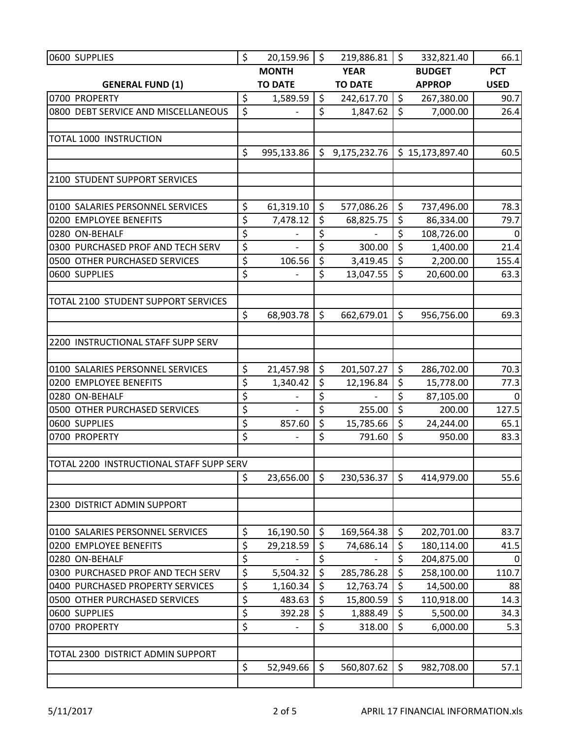| 0600 SUPPLIES                                              | \$<br>20,159.96                    | Ŝ. | 219,886.81     | $\zeta$ | 332,821.40             | 66.1             |
|------------------------------------------------------------|------------------------------------|----|----------------|---------|------------------------|------------------|
|                                                            | <b>MONTH</b>                       |    | <b>YEAR</b>    |         | <b>BUDGET</b>          | <b>PCT</b>       |
| <b>GENERAL FUND (1)</b>                                    | <b>TO DATE</b>                     |    | <b>TO DATE</b> |         | <b>APPROP</b>          | <b>USED</b>      |
| 0700 PROPERTY                                              | \$<br>1,589.59                     | \$ | 242,617.70     | $\zeta$ | 267,380.00             | 90.7             |
| 0800 DEBT SERVICE AND MISCELLANEOUS                        | \$                                 | \$ | 1,847.62       | $\zeta$ | 7,000.00               | 26.4             |
|                                                            |                                    |    |                |         |                        |                  |
| <b>TOTAL 1000 INSTRUCTION</b>                              |                                    |    |                |         |                        |                  |
|                                                            | \$<br>995,133.86                   | \$ | 9,175,232.76   |         | \$15,173,897.40        | 60.5             |
|                                                            |                                    |    |                |         |                        |                  |
| 2100 STUDENT SUPPORT SERVICES                              |                                    |    |                |         |                        |                  |
|                                                            |                                    |    |                |         |                        |                  |
| 0100 SALARIES PERSONNEL SERVICES                           | \$<br>61,319.10                    | \$ | 577,086.26     | $\zeta$ | 737,496.00             | 78.3             |
| 0200 EMPLOYEE BENEFITS                                     | \$<br>7,478.12                     | \$ | 68,825.75      | \$      | 86,334.00              | 79.7             |
| 0280 ON-BEHALF                                             | \$                                 | \$ |                | \$      | 108,726.00             | 0                |
| 0300 PURCHASED PROF AND TECH SERV                          | \$                                 | \$ | 300.00         | \$      | 1,400.00               | 21.4             |
| 0500 OTHER PURCHASED SERVICES                              | \$<br>106.56                       | \$ | 3,419.45       | \$      | 2,200.00               | 155.4            |
| 0600 SUPPLIES                                              | \$                                 | \$ | 13,047.55      | \$      | 20,600.00              | 63.3             |
|                                                            |                                    |    |                |         |                        |                  |
| TOTAL 2100 STUDENT SUPPORT SERVICES                        |                                    |    |                |         |                        |                  |
|                                                            | \$<br>68,903.78                    | \$ | 662,679.01     | \$      | 956,756.00             | 69.3             |
|                                                            |                                    |    |                |         |                        |                  |
| 2200 INSTRUCTIONAL STAFF SUPP SERV                         |                                    |    |                |         |                        |                  |
|                                                            | \$                                 | \$ |                | $\zeta$ |                        | 70.3             |
| 0100 SALARIES PERSONNEL SERVICES<br>0200 EMPLOYEE BENEFITS | \$<br>21,457.98                    | \$ | 201,507.27     | \$      | 286,702.00             |                  |
| 0280 ON-BEHALF                                             | \$<br>1,340.42                     | \$ | 12,196.84      | \$      | 15,778.00<br>87,105.00 | 77.3<br>$\Omega$ |
| 0500 OTHER PURCHASED SERVICES                              | \$                                 | \$ | 255.00         | \$      | 200.00                 | 127.5            |
| 0600 SUPPLIES                                              | \$<br>857.60                       | \$ | 15,785.66      | \$      | 24,244.00              | 65.1             |
| 0700 PROPERTY                                              | \$                                 | \$ | 791.60         | \$      | 950.00                 | 83.3             |
|                                                            |                                    |    |                |         |                        |                  |
| TOTAL 2200 INSTRUCTIONAL STAFF SUPP SERV                   |                                    |    |                |         |                        |                  |
|                                                            | \$<br>23,656.00                    | \$ | 230,536.37     | \$      | 414,979.00             | 55.6             |
|                                                            |                                    |    |                |         |                        |                  |
| 2300 DISTRICT ADMIN SUPPORT                                |                                    |    |                |         |                        |                  |
|                                                            |                                    |    |                |         |                        |                  |
| 0100 SALARIES PERSONNEL SERVICES                           | \$<br>16,190.50                    | \$ | 169,564.38     | \$      | 202,701.00             | 83.7             |
| 0200 EMPLOYEE BENEFITS                                     | \$<br>29,218.59                    | \$ | 74,686.14      | \$      | 180,114.00             | 41.5             |
| 0280 ON-BEHALF                                             | \$                                 | \$ |                | \$      | 204,875.00             | 0                |
| 0300 PURCHASED PROF AND TECH SERV                          | \$<br>5,504.32                     | \$ | 285,786.28     | \$      | 258,100.00             | 110.7            |
| 0400 PURCHASED PROPERTY SERVICES                           | \$<br>1,160.34                     | \$ | 12,763.74      | $\zeta$ | 14,500.00              | 88               |
| 0500 OTHER PURCHASED SERVICES                              | \$<br>483.63                       | \$ | 15,800.59      | \$      | 110,918.00             | 14.3             |
| 0600 SUPPLIES                                              | \$<br>392.28                       | \$ | 1,888.49       | \$      | 5,500.00               | 34.3             |
| 0700 PROPERTY                                              | \$<br>$\qquad \qquad \blacksquare$ | \$ | 318.00         | \$      | 6,000.00               | 5.3              |
|                                                            |                                    |    |                |         |                        |                  |
| TOTAL 2300 DISTRICT ADMIN SUPPORT                          |                                    |    |                |         |                        |                  |
|                                                            | \$<br>52,949.66                    | \$ | 560,807.62     | \$      | 982,708.00             | 57.1             |
|                                                            |                                    |    |                |         |                        |                  |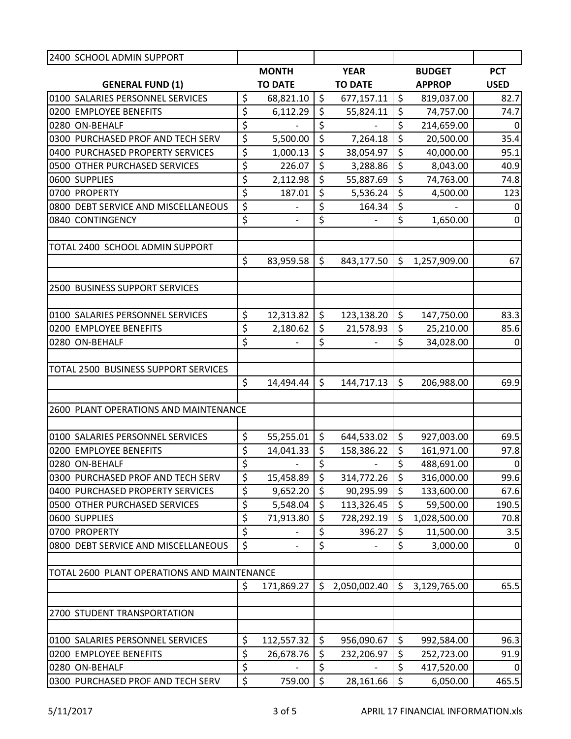| 2400 SCHOOL ADMIN SUPPORT                   |                                |          |                          |                  |               |                  |
|---------------------------------------------|--------------------------------|----------|--------------------------|------------------|---------------|------------------|
|                                             | <b>MONTH</b>                   |          | <b>YEAR</b>              |                  | <b>BUDGET</b> | <b>PCT</b>       |
| <b>GENERAL FUND (1)</b>                     | <b>TO DATE</b>                 |          | <b>TO DATE</b>           |                  | <b>APPROP</b> | <b>USED</b>      |
| 0100 SALARIES PERSONNEL SERVICES            | \$<br>68,821.10                | $\zeta$  | 677,157.11               | $\zeta$          | 819,037.00    | 82.7             |
| 0200 EMPLOYEE BENEFITS                      | \$<br>6,112.29                 | \$       | 55,824.11                | \$               | 74,757.00     | 74.7             |
| 0280 ON-BEHALF                              | \$                             | \$       |                          | \$               | 214,659.00    | $\mathbf{0}$     |
| 0300 PURCHASED PROF AND TECH SERV           | \$<br>5,500.00                 | \$       | 7,264.18                 | $\overline{\xi}$ | 20,500.00     | 35.4             |
| 0400 PURCHASED PROPERTY SERVICES            | \$<br>1,000.13                 | \$       | 38,054.97                | \$               | 40,000.00     | 95.1             |
| 0500 OTHER PURCHASED SERVICES               | \$<br>226.07                   | \$       | 3,288.86                 | $\zeta$          | 8,043.00      | 40.9             |
| 0600 SUPPLIES                               | \$<br>2,112.98                 | \$       | 55,887.69                | \$               | 74,763.00     | 74.8             |
| 0700 PROPERTY                               | \$<br>187.01                   | \$       | 5,536.24                 | $\zeta$          | 4,500.00      | 123              |
| 0800 DEBT SERVICE AND MISCELLANEOUS         | \$                             | \$       | 164.34                   | \$               |               | 0                |
| 0840 CONTINGENCY                            | \$<br>$\overline{\phantom{a}}$ | \$       | $\overline{\phantom{0}}$ | \$               | 1,650.00      | $\mathbf 0$      |
|                                             |                                |          |                          |                  |               |                  |
| TOTAL 2400 SCHOOL ADMIN SUPPORT             |                                |          |                          |                  |               |                  |
|                                             | \$<br>83,959.58                | \$       | 843,177.50               | $\zeta$          | 1,257,909.00  | 67               |
|                                             |                                |          |                          |                  |               |                  |
| 2500 BUSINESS SUPPORT SERVICES              |                                |          |                          |                  |               |                  |
|                                             |                                |          |                          |                  |               |                  |
| 0100 SALARIES PERSONNEL SERVICES            | \$<br>12,313.82                | \$       | 123,138.20               | $\zeta$          | 147,750.00    | 83.3             |
| 0200 EMPLOYEE BENEFITS                      | \$<br>2,180.62                 | \$       | 21,578.93                | $\zeta$          | 25,210.00     | 85.6             |
| 0280 ON-BEHALF                              | \$                             | \$       |                          | \$               | 34,028.00     | 0                |
|                                             |                                |          |                          |                  |               |                  |
| TOTAL 2500 BUSINESS SUPPORT SERVICES        |                                |          |                          |                  |               |                  |
|                                             | \$<br>14,494.44                | \$       | 144,717.13               | \$               | 206,988.00    | 69.9             |
| 2600 PLANT OPERATIONS AND MAINTENANCE       |                                |          |                          |                  |               |                  |
|                                             |                                |          |                          |                  |               |                  |
| 0100 SALARIES PERSONNEL SERVICES            | \$<br>55,255.01                | \$       | 644,533.02               | $\zeta$          | 927,003.00    | 69.5             |
| 0200 EMPLOYEE BENEFITS                      | \$<br>14,041.33                | \$       | 158,386.22               | \$               | 161,971.00    | 97.8             |
| 0280 ON-BEHALF                              | \$<br>$\overline{\phantom{a}}$ | \$       | $\overline{\phantom{a}}$ | \$               | 488,691.00    | $\overline{0}$   |
| 0300 PURCHASED PROF AND TECH SERV           | \$<br>15,458.89                | \$       | 314,772.26               | $\zeta$          | 316,000.00    | 99.6             |
| 0400 PURCHASED PROPERTY SERVICES            | \$<br>9,652.20                 | \$       | 90,295.99                | $\zeta$          | 133,600.00    | 67.6             |
| 0500 OTHER PURCHASED SERVICES               | \$<br>5,548.04                 | \$       | 113,326.45               | \$               | 59,500.00     | 190.5            |
| 0600 SUPPLIES                               | \$<br>71,913.80                | \$       | 728,292.19               | $\zeta$          | 1,028,500.00  | 70.8             |
| 0700 PROPERTY                               | \$                             | \$       | 396.27                   | \$               | 11,500.00     | 3.5              |
| 0800 DEBT SERVICE AND MISCELLANEOUS         | \$                             | \$       |                          | \$               | 3,000.00      | $\boldsymbol{0}$ |
|                                             |                                |          |                          |                  |               |                  |
| TOTAL 2600 PLANT OPERATIONS AND MAINTENANCE |                                |          |                          |                  |               |                  |
|                                             | \$<br>171,869.27               | \$       | 2,050,002.40             | $\zeta$          | 3,129,765.00  | 65.5             |
|                                             |                                |          |                          |                  |               |                  |
| 2700 STUDENT TRANSPORTATION                 |                                |          |                          |                  |               |                  |
|                                             |                                |          |                          |                  |               |                  |
| 0100 SALARIES PERSONNEL SERVICES            | \$<br>112,557.32               | \$       | 956,090.67               | $\zeta$<br>\$    | 992,584.00    | 96.3             |
| 0200 EMPLOYEE BENEFITS                      | \$<br>26,678.76                | \$       | 232,206.97               | \$               | 252,723.00    | 91.9             |
| 0280 ON-BEHALF                              | \$                             | \$<br>\$ |                          |                  | 417,520.00    | 0                |
| 0300 PURCHASED PROF AND TECH SERV           | \$<br>759.00                   |          | 28,161.66                | $\zeta$          | 6,050.00      | 465.5            |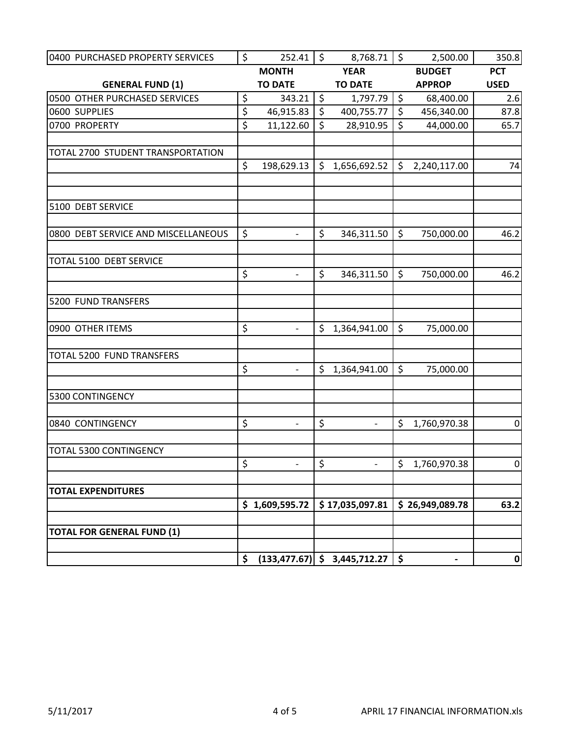| 0400 PURCHASED PROPERTY SERVICES    | \$<br>252.41                   | \$      | 8,768.71                        | $\zeta$       | 2,500.00        | 350.8            |
|-------------------------------------|--------------------------------|---------|---------------------------------|---------------|-----------------|------------------|
|                                     | <b>MONTH</b>                   |         | <b>YEAR</b>                     |               | <b>BUDGET</b>   | <b>PCT</b>       |
| <b>GENERAL FUND (1)</b>             | <b>TO DATE</b>                 |         | <b>TO DATE</b>                  |               | <b>APPROP</b>   | <b>USED</b>      |
| 0500 OTHER PURCHASED SERVICES       | \$<br>343.21                   | \$      | 1,797.79                        | $\frac{1}{2}$ | 68,400.00       | 2.6              |
| 0600 SUPPLIES                       | \$<br>46,915.83                | $\zeta$ | 400,755.77                      | $\zeta$       | 456,340.00      | 87.8             |
| 0700 PROPERTY                       | \$<br>11,122.60                | \$      | 28,910.95                       | $\zeta$       | 44,000.00       | 65.7             |
| TOTAL 2700 STUDENT TRANSPORTATION   |                                |         |                                 |               |                 |                  |
|                                     | \$<br>198,629.13               | \$      | 1,656,692.52                    | \$            | 2,240,117.00    | 74               |
|                                     |                                |         |                                 |               |                 |                  |
| 5100 DEBT SERVICE                   |                                |         |                                 |               |                 |                  |
| 0800 DEBT SERVICE AND MISCELLANEOUS | \$                             | \$      | 346,311.50                      | $\zeta$       | 750,000.00      | 46.2             |
| TOTAL 5100 DEBT SERVICE             |                                |         |                                 |               |                 |                  |
|                                     | \$<br>$\overline{\phantom{a}}$ | \$      | 346,311.50                      | $\zeta$       | 750,000.00      | 46.2             |
| 5200 FUND TRANSFERS                 |                                |         |                                 |               |                 |                  |
| 0900 OTHER ITEMS                    | \$<br>$\frac{1}{2}$            | \$      | 1,364,941.00                    | $\zeta$       | 75,000.00       |                  |
| TOTAL 5200 FUND TRANSFERS           |                                |         |                                 |               |                 |                  |
|                                     | \$                             | \$      | 1,364,941.00                    | $\zeta$       | 75,000.00       |                  |
| 5300 CONTINGENCY                    |                                |         |                                 |               |                 |                  |
| 0840 CONTINGENCY                    | \$<br>$\overline{\phantom{0}}$ | \$      | $\overline{\phantom{0}}$        | \$            | 1,760,970.38    | $\pmb{0}$        |
| TOTAL 5300 CONTINGENCY              |                                |         |                                 |               |                 |                  |
|                                     | \$<br>$\overline{\phantom{m}}$ | \$      | $\overline{\phantom{0}}$        | $\zeta$       | 1,760,970.38    | 0                |
| <b>TOTAL EXPENDITURES</b>           |                                |         |                                 |               |                 |                  |
|                                     | \$1,609,595.72                 |         | \$17,035,097.81                 |               | \$26,949,089.78 | 63.2             |
| <b>TOTAL FOR GENERAL FUND (1)</b>   |                                |         |                                 |               |                 |                  |
|                                     | \$                             |         | $(133, 477.67)$ \$ 3,445,712.27 | $\frac{1}{2}$ | $\blacksquare$  | $\boldsymbol{0}$ |